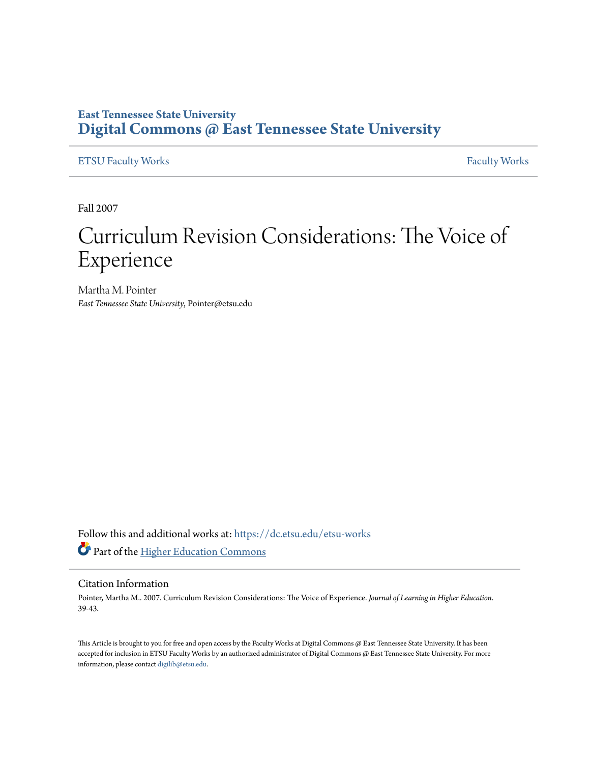## **East Tennessee State University [Digital Commons @ East Tennessee State University](https://dc.etsu.edu?utm_source=dc.etsu.edu%2Fetsu-works%2F3010&utm_medium=PDF&utm_campaign=PDFCoverPages)**

[ETSU Faculty Works](https://dc.etsu.edu/etsu-works?utm_source=dc.etsu.edu%2Fetsu-works%2F3010&utm_medium=PDF&utm_campaign=PDFCoverPages) [Faculty Works](https://dc.etsu.edu/faculty-works?utm_source=dc.etsu.edu%2Fetsu-works%2F3010&utm_medium=PDF&utm_campaign=PDFCoverPages) Faculty Works

Fall 2007

# Curriculum Revision Considerations: The Voice of Experience

Martha M. Pointer *East Tennessee State University*, Pointer@etsu.edu

Follow this and additional works at: [https://dc.etsu.edu/etsu-works](https://dc.etsu.edu/etsu-works?utm_source=dc.etsu.edu%2Fetsu-works%2F3010&utm_medium=PDF&utm_campaign=PDFCoverPages) Part of the [Higher Education Commons](http://network.bepress.com/hgg/discipline/1245?utm_source=dc.etsu.edu%2Fetsu-works%2F3010&utm_medium=PDF&utm_campaign=PDFCoverPages)

#### Citation Information

Pointer, Martha M.. 2007. Curriculum Revision Considerations: The Voice of Experience. *Journal of Learning in Higher Education*. 39-43.

This Article is brought to you for free and open access by the Faculty Works at Digital Commons @ East Tennessee State University. It has been accepted for inclusion in ETSU Faculty Works by an authorized administrator of Digital Commons @ East Tennessee State University. For more information, please contact [digilib@etsu.edu.](mailto:digilib@etsu.edu)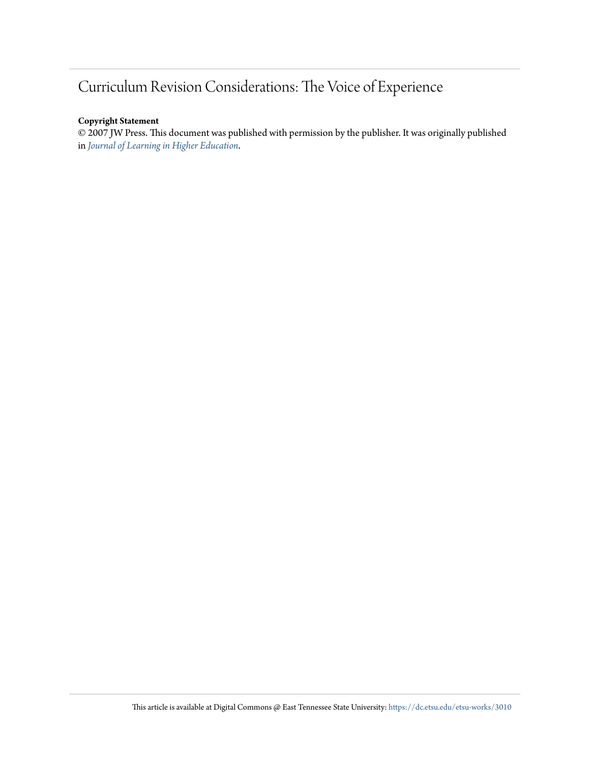# Curriculum Revision Considerations: The Voice of Experience

#### **Copyright Statement**

© 2007 JW Press. This document was published with permission by the publisher. It was originally published in *[Journal of Learning in Higher Education](http://jwpress.com/JLHE/JLHE.htm)*.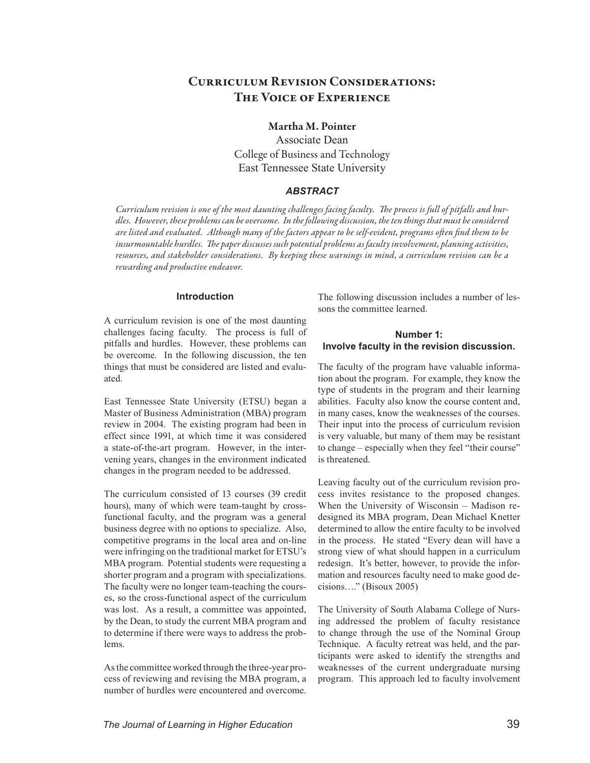### CURRICULUM REVISION CONSIDERATIONS: The Voice of Experience

#### Martha M. Pointer

Associate Dean College of Business and Technology East Tennessee State University

#### *Abstract*

*Curriculum revision is one of the most daunting challenges facing faculty. The process is full of pitfalls and hurdles. However, these problems can be overcome. In the following discussion, the ten things that must be considered are listed and evaluated. Although many of the factors appear to be self-evident, programs often find them to be insurmountable hurdles. The paper discusses such potential problems as faculty involvement, planning activities, resources, and stakeholder considerations. By keeping these warnings in mind, a curriculum revision can be a rewarding and productive endeavor.*

#### **Introduction**

A curriculum revision is one of the most daunting challenges facing faculty. The process is full of pitfalls and hurdles. However, these problems can be overcome. In the following discussion, the ten things that must be considered are listed and evaluated.

East Tennessee State University (ETSU) began a Master of Business Administration (MBA) program review in 2004. The existing program had been in effect since 1991, at which time it was considered a state-of-the-art program. However, in the intervening years, changes in the environment indicated changes in the program needed to be addressed.

The curriculum consisted of 13 courses (39 credit hours), many of which were team-taught by crossfunctional faculty, and the program was a general business degree with no options to specialize. Also, competitive programs in the local area and on-line were infringing on the traditional market for ETSU's MBA program. Potential students were requesting a shorter program and a program with specializations. The faculty were no longer team-teaching the courses, so the cross-functional aspect of the curriculum was lost. As a result, a committee was appointed, by the Dean, to study the current MBA program and to determine if there were ways to address the problems.

As the committee worked through the three-year process of reviewing and revising the MBA program, a number of hurdles were encountered and overcome. The following discussion includes a number of lessons the committee learned.

#### **Number 1: Involve faculty in the revision discussion.**

The faculty of the program have valuable information about the program. For example, they know the type of students in the program and their learning abilities. Faculty also know the course content and, in many cases, know the weaknesses of the courses. Their input into the process of curriculum revision is very valuable, but many of them may be resistant to change – especially when they feel "their course" is threatened.

Leaving faculty out of the curriculum revision process invites resistance to the proposed changes. When the University of Wisconsin – Madison redesigned its MBA program, Dean Michael Knetter determined to allow the entire faculty to be involved in the process. He stated "Every dean will have a strong view of what should happen in a curriculum redesign. It's better, however, to provide the information and resources faculty need to make good decisions…." (Bisoux 2005)

The University of South Alabama College of Nursing addressed the problem of faculty resistance to change through the use of the Nominal Group Technique. A faculty retreat was held, and the participants were asked to identify the strengths and weaknesses of the current undergraduate nursing program. This approach led to faculty involvement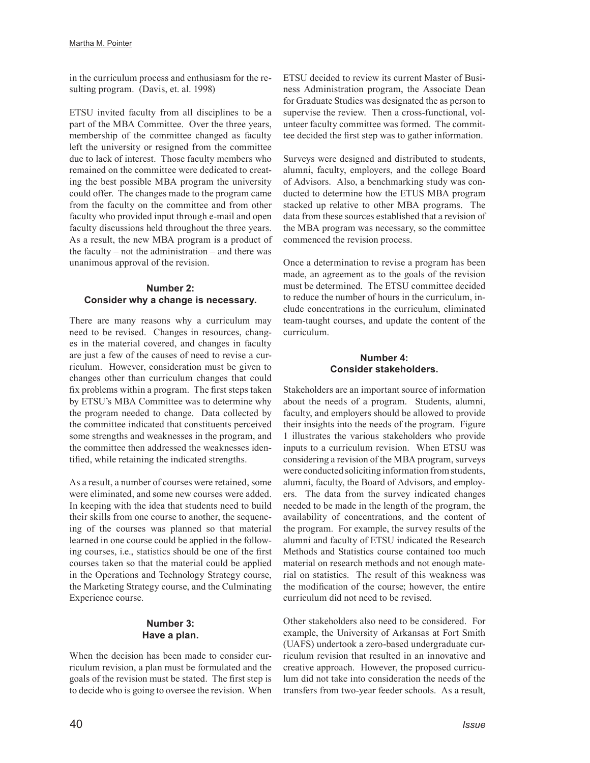in the curriculum process and enthusiasm for the resulting program. (Davis, et. al. 1998)

ETSU invited faculty from all disciplines to be a part of the MBA Committee. Over the three years, membership of the committee changed as faculty left the university or resigned from the committee due to lack of interest. Those faculty members who remained on the committee were dedicated to creating the best possible MBA program the university could offer. The changes made to the program came from the faculty on the committee and from other faculty who provided input through e-mail and open faculty discussions held throughout the three years. As a result, the new MBA program is a product of the faculty – not the administration – and there was unanimous approval of the revision.

#### **Number 2: Consider why a change is necessary.**

There are many reasons why a curriculum may need to be revised. Changes in resources, changes in the material covered, and changes in faculty are just a few of the causes of need to revise a curriculum. However, consideration must be given to changes other than curriculum changes that could fix problems within a program. The first steps taken by ETSU's MBA Committee was to determine why the program needed to change. Data collected by the committee indicated that constituents perceived some strengths and weaknesses in the program, and the committee then addressed the weaknesses identified, while retaining the indicated strengths.

As a result, a number of courses were retained, some were eliminated, and some new courses were added. In keeping with the idea that students need to build their skills from one course to another, the sequencing of the courses was planned so that material learned in one course could be applied in the following courses, i.e., statistics should be one of the first courses taken so that the material could be applied in the Operations and Technology Strategy course, the Marketing Strategy course, and the Culminating Experience course.

#### **Number 3: Have a plan.**

When the decision has been made to consider curriculum revision, a plan must be formulated and the goals of the revision must be stated. The first step is to decide who is going to oversee the revision. When

ETSU decided to review its current Master of Business Administration program, the Associate Dean for Graduate Studies was designated the as person to supervise the review. Then a cross-functional, volunteer faculty committee was formed. The committee decided the first step was to gather information.

Surveys were designed and distributed to students, alumni, faculty, employers, and the college Board of Advisors. Also, a benchmarking study was conducted to determine how the ETUS MBA program stacked up relative to other MBA programs. The data from these sources established that a revision of the MBA program was necessary, so the committee commenced the revision process.

Once a determination to revise a program has been made, an agreement as to the goals of the revision must be determined. The ETSU committee decided to reduce the number of hours in the curriculum, include concentrations in the curriculum, eliminated team-taught courses, and update the content of the curriculum.

#### **Number 4: Consider stakeholders.**

Stakeholders are an important source of information about the needs of a program. Students, alumni, faculty, and employers should be allowed to provide their insights into the needs of the program. Figure 1 illustrates the various stakeholders who provide inputs to a curriculum revision. When ETSU was considering a revision of the MBA program, surveys were conducted soliciting information from students, alumni, faculty, the Board of Advisors, and employers. The data from the survey indicated changes needed to be made in the length of the program, the availability of concentrations, and the content of the program. For example, the survey results of the alumni and faculty of ETSU indicated the Research Methods and Statistics course contained too much material on research methods and not enough material on statistics. The result of this weakness was the modification of the course; however, the entire curriculum did not need to be revised.

Other stakeholders also need to be considered. For example, the University of Arkansas at Fort Smith (UAFS) undertook a zero-based undergraduate curriculum revision that resulted in an innovative and creative approach. However, the proposed curriculum did not take into consideration the needs of the transfers from two-year feeder schools. As a result,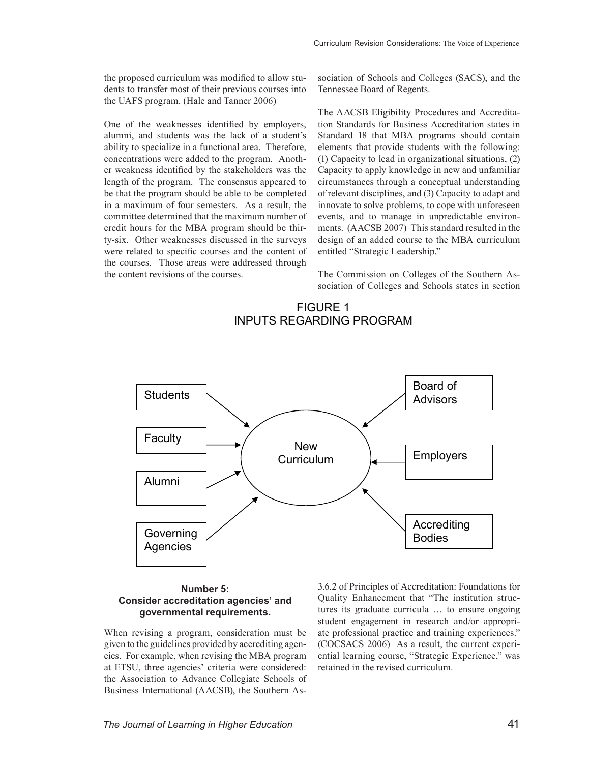the proposed curriculum was modified to allow students to transfer most of their previous courses into the UAFS program. (Hale and Tanner 2006)

One of the weaknesses identified by employers, alumni, and students was the lack of a student's ability to specialize in a functional area. Therefore, concentrations were added to the program. Another weakness identified by the stakeholders was the length of the program. The consensus appeared to be that the program should be able to be completed in a maximum of four semesters. As a result, the committee determined that the maximum number of credit hours for the MBA program should be thirty-six. Other weaknesses discussed in the surveys were related to specific courses and the content of the courses. Those areas were addressed through the content revisions of the courses.

sociation of Schools and Colleges (SACS), and the Tennessee Board of Regents.

The AACSB Eligibility Procedures and Accreditation Standards for Business Accreditation states in Standard 18 that MBA programs should contain elements that provide students with the following: (1) Capacity to lead in organizational situations, (2) Capacity to apply knowledge in new and unfamiliar circumstances through a conceptual understanding of relevant disciplines, and (3) Capacity to adapt and innovate to solve problems, to cope with unforeseen events, and to manage in unpredictable environments. (AACSB 2007) This standard resulted in the design of an added course to the MBA curriculum entitled "Strategic Leadership."

The Commission on Colleges of the Southern Association of Colleges and Schools states in section

#### FIGURE 1 INPUTS REGARDING PROGRAM



#### **Number 5: Consider accreditation agencies' and governmental requirements.**

When revising a program, consideration must be given to the guidelines provided by accrediting agencies. For example, when revising the MBA program at ETSU, three agencies' criteria were considered: the Association to Advance Collegiate Schools of Business International (AACSB), the Southern As3.6.2 of Principles of Accreditation: Foundations for Quality Enhancement that "The institution structures its graduate curricula … to ensure ongoing student engagement in research and/or appropriate professional practice and training experiences." (COCSACS 2006) As a result, the current experiential learning course, "Strategic Experience," was retained in the revised curriculum.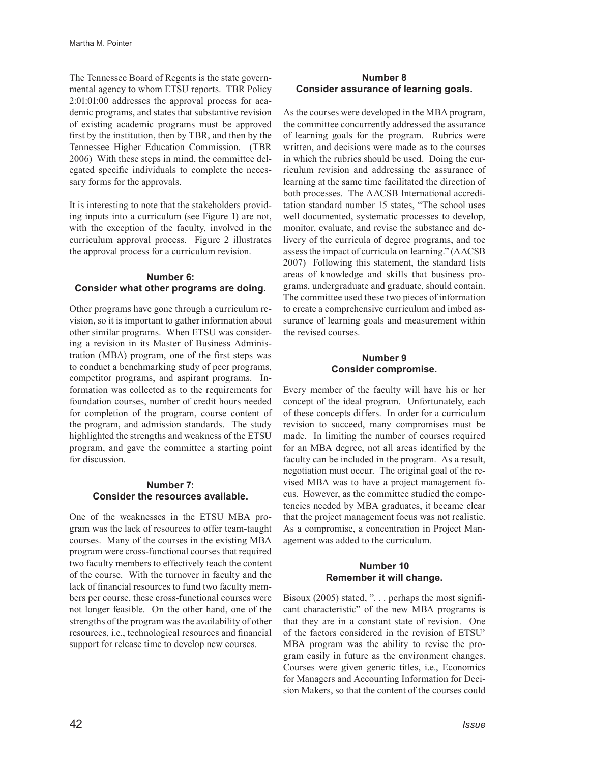The Tennessee Board of Regents is the state governmental agency to whom ETSU reports. TBR Policy 2:01:01:00 addresses the approval process for academic programs, and states that substantive revision of existing academic programs must be approved first by the institution, then by TBR, and then by the Tennessee Higher Education Commission. (TBR 2006) With these steps in mind, the committee delegated specific individuals to complete the necessary forms for the approvals.

It is interesting to note that the stakeholders providing inputs into a curriculum (see Figure 1) are not, with the exception of the faculty, involved in the curriculum approval process. Figure 2 illustrates the approval process for a curriculum revision.

#### **Number 6: Consider what other programs are doing.**

Other programs have gone through a curriculum revision, so it is important to gather information about other similar programs. When ETSU was considering a revision in its Master of Business Administration (MBA) program, one of the first steps was to conduct a benchmarking study of peer programs, competitor programs, and aspirant programs. Information was collected as to the requirements for foundation courses, number of credit hours needed for completion of the program, course content of the program, and admission standards. The study highlighted the strengths and weakness of the ETSU program, and gave the committee a starting point for discussion.

#### **Number 7: Consider the resources available.**

One of the weaknesses in the ETSU MBA program was the lack of resources to offer team-taught courses. Many of the courses in the existing MBA program were cross-functional courses that required two faculty members to effectively teach the content of the course. With the turnover in faculty and the lack of financial resources to fund two faculty members per course, these cross-functional courses were not longer feasible. On the other hand, one of the strengths of the program was the availability of other resources, i.e., technological resources and financial support for release time to develop new courses.

#### **Number 8 Consider assurance of learning goals.**

As the courses were developed in the MBA program, the committee concurrently addressed the assurance of learning goals for the program. Rubrics were written, and decisions were made as to the courses in which the rubrics should be used. Doing the curriculum revision and addressing the assurance of learning at the same time facilitated the direction of both processes. The AACSB International accreditation standard number 15 states, "The school uses well documented, systematic processes to develop, monitor, evaluate, and revise the substance and delivery of the curricula of degree programs, and toe assess the impact of curricula on learning." (AACSB 2007) Following this statement, the standard lists areas of knowledge and skills that business programs, undergraduate and graduate, should contain. The committee used these two pieces of information to create a comprehensive curriculum and imbed assurance of learning goals and measurement within the revised courses.

#### **Number 9 Consider compromise.**

Every member of the faculty will have his or her concept of the ideal program. Unfortunately, each of these concepts differs. In order for a curriculum revision to succeed, many compromises must be made. In limiting the number of courses required for an MBA degree, not all areas identified by the faculty can be included in the program. As a result, negotiation must occur. The original goal of the revised MBA was to have a project management focus. However, as the committee studied the competencies needed by MBA graduates, it became clear that the project management focus was not realistic. As a compromise, a concentration in Project Management was added to the curriculum.

#### **Number 10 Remember it will change.**

Bisoux (2005) stated, ". . . perhaps the most significant characteristic" of the new MBA programs is that they are in a constant state of revision. One of the factors considered in the revision of ETSU' MBA program was the ability to revise the program easily in future as the environment changes. Courses were given generic titles, i.e., Economics for Managers and Accounting Information for Decision Makers, so that the content of the courses could